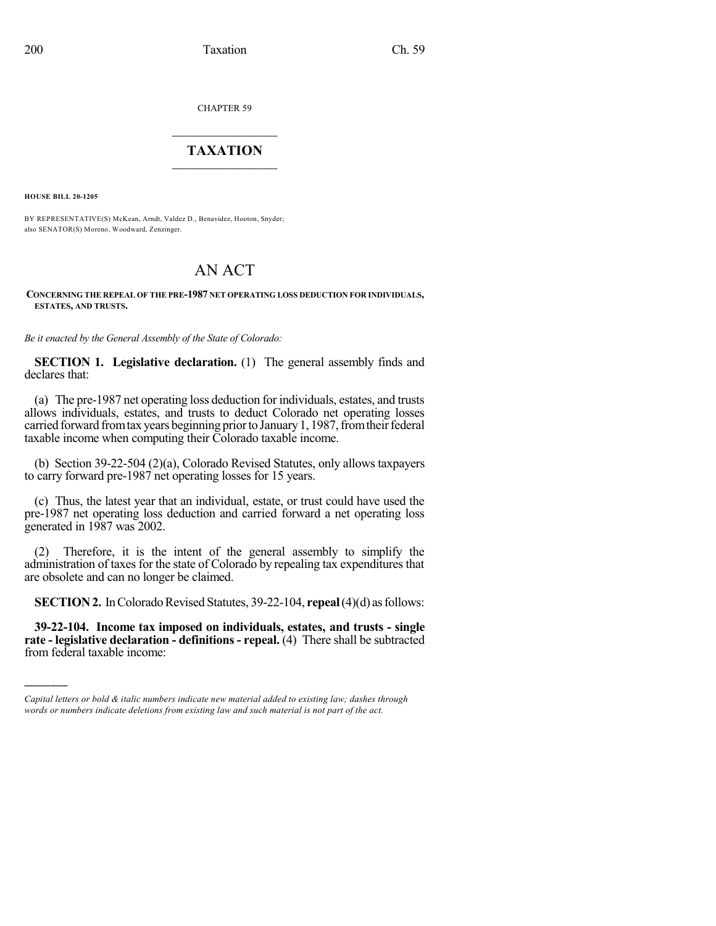CHAPTER 59

## $\mathcal{L}_\text{max}$  . The set of the set of the set of the set of the set of the set of the set of the set of the set of the set of the set of the set of the set of the set of the set of the set of the set of the set of the set **TAXATION**  $\_$

**HOUSE BILL 20-1205**

)))))

BY REPRESENTATIVE(S) McKean, Arndt, Valdez D., Benavidez, Hooton, Snyder; also SENATOR(S) Moreno, Woodward, Zenzinger.

## AN ACT

## **CONCERNING THE REPEAL OF THE PRE-1987 NET OPERATING LOSS DEDUCTION FOR INDIVIDUALS, ESTATES, AND TRUSTS.**

*Be it enacted by the General Assembly of the State of Colorado:*

**SECTION 1. Legislative declaration.** (1) The general assembly finds and declares that:

(a) The pre-1987 net operating loss deduction for individuals, estates, and trusts allows individuals, estates, and trusts to deduct Colorado net operating losses carried forward from tax years beginning prior to January 1, 1987, from their federal taxable income when computing their Colorado taxable income.

(b) Section 39-22-504 (2)(a), Colorado Revised Statutes, only allows taxpayers to carry forward pre-1987 net operating losses for 15 years.

(c) Thus, the latest year that an individual, estate, or trust could have used the pre-1987 net operating loss deduction and carried forward a net operating loss generated in 1987 was 2002.

(2) Therefore, it is the intent of the general assembly to simplify the administration of taxes for the state of Colorado by repealing tax expenditures that are obsolete and can no longer be claimed.

**SECTION 2.** In Colorado Revised Statutes, 39-22-104, **repeal** (4)(d) as follows:

**39-22-104. Income tax imposed on individuals, estates, and trusts - single rate - legislative declaration - definitions - repeal.** (4) There shall be subtracted from federal taxable income:

*Capital letters or bold & italic numbers indicate new material added to existing law; dashes through words or numbers indicate deletions from existing law and such material is not part of the act.*